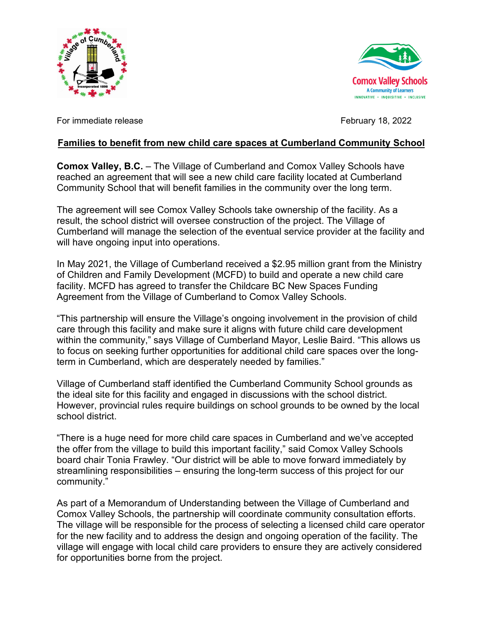



For immediate release Formation of the February 18, 2022

## **Families to benefit from new child care spaces at Cumberland Community School**

**Comox Valley, B.C.** – The Village of Cumberland and Comox Valley Schools have reached an agreement that will see a new child care facility located at Cumberland Community School that will benefit families in the community over the long term.

The agreement will see Comox Valley Schools take ownership of the facility. As a result, the school district will oversee construction of the project. The Village of Cumberland will manage the selection of the eventual service provider at the facility and will have ongoing input into operations.

In May 2021, the Village of Cumberland received a \$2.95 million grant from the Ministry of Children and Family Development (MCFD) to build and operate a new child care facility. MCFD has agreed to transfer the Childcare BC New Spaces Funding Agreement from the Village of Cumberland to Comox Valley Schools.

"This partnership will ensure the Village's ongoing involvement in the provision of child care through this facility and make sure it aligns with future child care development within the community," says Village of Cumberland Mayor, Leslie Baird. "This allows us to focus on seeking further opportunities for additional child care spaces over the longterm in Cumberland, which are desperately needed by families."

Village of Cumberland staff identified the Cumberland Community School grounds as the ideal site for this facility and engaged in discussions with the school district. However, provincial rules require buildings on school grounds to be owned by the local school district.

"There is a huge need for more child care spaces in Cumberland and we've accepted the offer from the village to build this important facility," said Comox Valley Schools board chair Tonia Frawley. "Our district will be able to move forward immediately by streamlining responsibilities – ensuring the long-term success of this project for our community."

As part of a Memorandum of Understanding between the Village of Cumberland and Comox Valley Schools, the partnership will coordinate community consultation efforts. The village will be responsible for the process of selecting a licensed child care operator for the new facility and to address the design and ongoing operation of the facility. The village will engage with local child care providers to ensure they are actively considered for opportunities borne from the project.